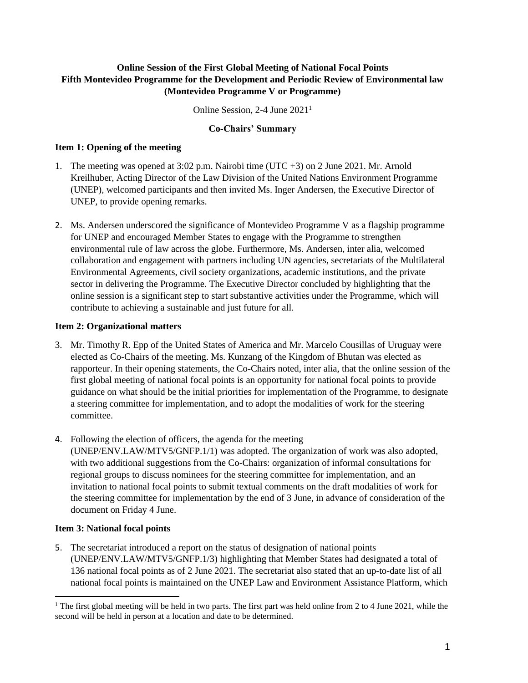### **Online Session of the First Global Meeting of National Focal Points Fifth Montevideo Programme for the Development and Periodic Review of Environmental law (Montevideo Programme V or Programme)**

Online Session, 2-4 June 2021<sup>1</sup>

### **Co-Chairs' Summary**

### **Item 1: Opening of the meeting**

- 1. The meeting was opened at 3:02 p.m. Nairobi time (UTC +3) on 2 June 2021. Mr. Arnold Kreilhuber, Acting Director of the Law Division of the United Nations Environment Programme (UNEP), welcomed participants and then invited Ms. Inger Andersen, the Executive Director of UNEP, to provide opening remarks.
- 2. Ms. Andersen underscored the significance of Montevideo Programme V as a flagship programme for UNEP and encouraged Member States to engage with the Programme to strengthen environmental rule of law across the globe. Furthermore, Ms. Andersen, inter alia, welcomed collaboration and engagement with partners including UN agencies, secretariats of the Multilateral Environmental Agreements, civil society organizations, academic institutions, and the private sector in delivering the Programme. The Executive Director concluded by highlighting that the online session is a significant step to start substantive activities under the Programme, which will contribute to achieving a sustainable and just future for all.

### **Item 2: Organizational matters**

- 3. Mr. Timothy R. Epp of the United States of America and Mr. Marcelo Cousillas of Uruguay were elected as Co-Chairs of the meeting. Ms. Kunzang of the Kingdom of Bhutan was elected as rapporteur. In their opening statements, the Co-Chairs noted, inter alia, that the online session of the first global meeting of national focal points is an opportunity for national focal points to provide guidance on what should be the initial priorities for implementation of the Programme, to designate a steering committee for implementation, and to adopt the modalities of work for the steering committee.
- 4. Following the election of officers, the agenda for the meeting (UNEP/ENV.LAW/MTV5/GNFP.1/1) was adopted. The organization of work was also adopted, with two additional suggestions from the Co-Chairs: organization of informal consultations for regional groups to discuss nominees for the steering committee for implementation, and an invitation to national focal points to submit textual comments on the draft modalities of work for the steering committee for implementation by the end of 3 June, in advance of consideration of the document on Friday 4 June.

# **Item 3: National focal points**

5. The secretariat introduced a report on the status of designation of national points (UNEP/ENV.LAW/MTV5/GNFP.1/3) highlighting that Member States had designated a total of 136 national focal points as of 2 June 2021. The secretariat also stated that an up-to-date list of all national focal points is maintained on the UNEP Law and Environment Assistance Platform, which

<sup>&</sup>lt;sup>1</sup> The first global meeting will be held in two parts. The first part was held online from 2 to 4 June 2021, while the second will be held in person at a location and date to be determined.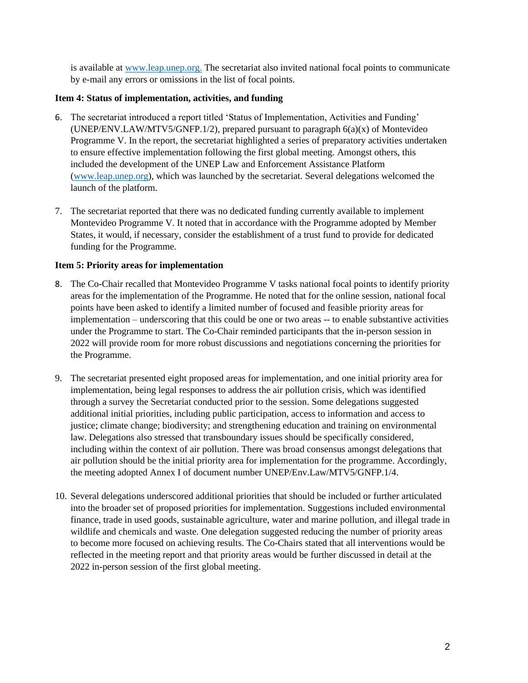is available at [www.leap.unep.org.](http://www.leap.unep.org/) The secretariat also invited national focal points to communicate by e-mail any errors or omissions in the list of focal points.

## **Item 4: Status of implementation, activities, and funding**

- 6. The secretariat introduced a report titled 'Status of Implementation, Activities and Funding' (UNEP/ENV.LAW/MTV5/GNFP.1/2), prepared pursuant to paragraph  $6(a)(x)$  of Montevideo Programme V. In the report, the secretariat highlighted a series of preparatory activities undertaken to ensure effective implementation following the first global meeting. Amongst others, this included the development of the UNEP Law and Enforcement Assistance Platform [\(www.leap.unep.org\)](http://www.leap.unep.org/), which was launched by the secretariat. Several delegations welcomed the launch of the platform.
- 7. The secretariat reported that there was no dedicated funding currently available to implement Montevideo Programme V. It noted that in accordance with the Programme adopted by Member States, it would, if necessary, consider the establishment of a trust fund to provide for dedicated funding for the Programme.

## **Item 5: Priority areas for implementation**

- 8. The Co-Chair recalled that Montevideo Programme V tasks national focal points to identify priority areas for the implementation of the Programme. He noted that for the online session, national focal points have been asked to identify a limited number of focused and feasible priority areas for implementation – underscoring that this could be one or two areas -- to enable substantive activities under the Programme to start. The Co-Chair reminded participants that the in-person session in 2022 will provide room for more robust discussions and negotiations concerning the priorities for the Programme.
- 9. The secretariat presented eight proposed areas for implementation, and one initial priority area for implementation, being legal responses to address the air pollution crisis, which was identified through a survey the Secretariat conducted prior to the session. Some delegations suggested additional initial priorities, including public participation, access to information and access to justice; climate change; biodiversity; and strengthening education and training on environmental law. Delegations also stressed that transboundary issues should be specifically considered, including within the context of air pollution. There was broad consensus amongst delegations that air pollution should be the initial priority area for implementation for the programme. Accordingly, the meeting adopted Annex I of document number UNEP/Env.Law/MTV5/GNFP.1/4.
- 10. Several delegations underscored additional priorities that should be included or further articulated into the broader set of proposed priorities for implementation. Suggestions included environmental finance, trade in used goods, sustainable agriculture, water and marine pollution, and illegal trade in wildlife and chemicals and waste. One delegation suggested reducing the number of priority areas to become more focused on achieving results. The Co-Chairs stated that all interventions would be reflected in the meeting report and that priority areas would be further discussed in detail at the 2022 in-person session of the first global meeting.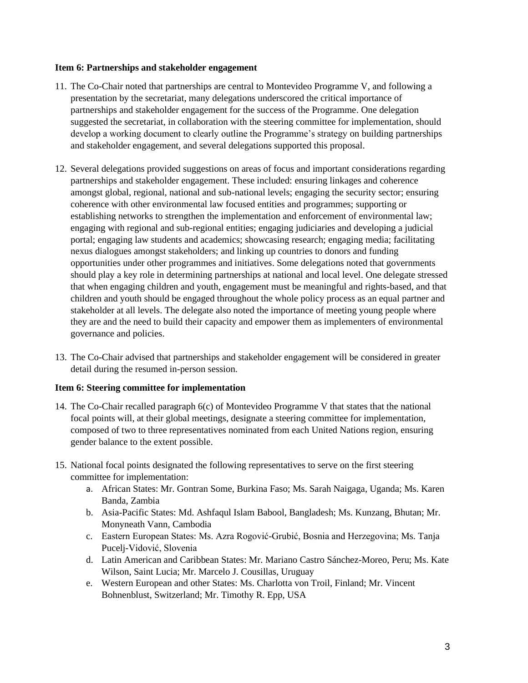#### **Item 6: Partnerships and stakeholder engagement**

- 11. The Co-Chair noted that partnerships are central to Montevideo Programme V, and following a presentation by the secretariat, many delegations underscored the critical importance of partnerships and stakeholder engagement for the success of the Programme. One delegation suggested the secretariat, in collaboration with the steering committee for implementation, should develop a working document to clearly outline the Programme's strategy on building partnerships and stakeholder engagement, and several delegations supported this proposal.
- 12. Several delegations provided suggestions on areas of focus and important considerations regarding partnerships and stakeholder engagement. These included: ensuring linkages and coherence amongst global, regional, national and sub-national levels; engaging the security sector; ensuring coherence with other environmental law focused entities and programmes; supporting or establishing networks to strengthen the implementation and enforcement of environmental law; engaging with regional and sub-regional entities; engaging judiciaries and developing a judicial portal; engaging law students and academics; showcasing research; engaging media; facilitating nexus dialogues amongst stakeholders; and linking up countries to donors and funding opportunities under other programmes and initiatives. Some delegations noted that governments should play a key role in determining partnerships at national and local level. One delegate stressed that when engaging children and youth, engagement must be meaningful and rights-based, and that children and youth should be engaged throughout the whole policy process as an equal partner and stakeholder at all levels. The delegate also noted the importance of meeting young people where they are and the need to build their capacity and empower them as implementers of environmental governance and policies.
- 13. The Co-Chair advised that partnerships and stakeholder engagement will be considered in greater detail during the resumed in-person session.

### **Item 6: Steering committee for implementation**

- 14. The Co-Chair recalled paragraph 6(c) of Montevideo Programme V that states that the national focal points will, at their global meetings, designate a steering committee for implementation, composed of two to three representatives nominated from each United Nations region, ensuring gender balance to the extent possible.
- 15. National focal points designated the following representatives to serve on the first steering committee for implementation:
	- a. African States: Mr. Gontran Some, Burkina Faso; Ms. Sarah Naigaga, Uganda; Ms. Karen Banda, Zambia
	- b. Asia-Pacific States: Md. Ashfaqul Islam Babool, Bangladesh; Ms. Kunzang, Bhutan; Mr. Monyneath Vann, Cambodia
	- c. Eastern European States: Ms. Azra Rogović-Grubić, Bosnia and Herzegovina; Ms. Tanja Pucelj-Vidović, Slovenia
	- d. Latin American and Caribbean States: Mr. Mariano Castro Sánchez-Moreo, Peru; Ms. Kate Wilson, Saint Lucia; Mr. Marcelo J. Cousillas, Uruguay
	- e. Western European and other States: Ms. Charlotta von Troil, Finland; Mr. Vincent Bohnenblust, Switzerland; Mr. Timothy R. Epp, USA